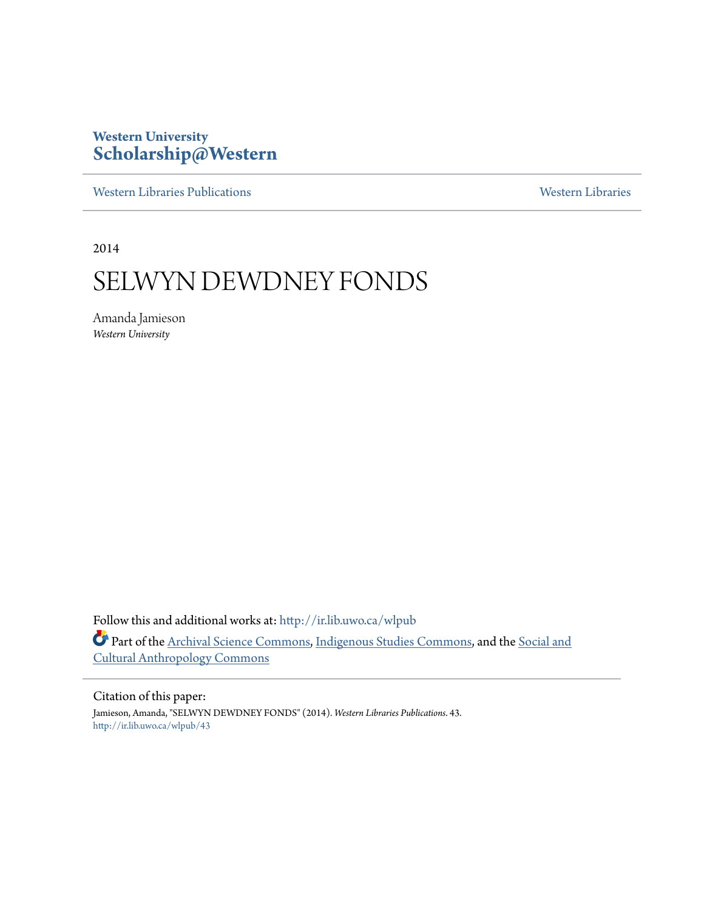# **Western University [Scholarship@Western](http://ir.lib.uwo.ca?utm_source=ir.lib.uwo.ca%2Fwlpub%2F43&utm_medium=PDF&utm_campaign=PDFCoverPages)**

[Western Libraries Publications](http://ir.lib.uwo.ca/wlpub?utm_source=ir.lib.uwo.ca%2Fwlpub%2F43&utm_medium=PDF&utm_campaign=PDFCoverPages) [Western Libraries](http://ir.lib.uwo.ca/wl?utm_source=ir.lib.uwo.ca%2Fwlpub%2F43&utm_medium=PDF&utm_campaign=PDFCoverPages)

2014

# SELWYN DEWDNEY FONDS

Amanda Jamieson *Western University*

Follow this and additional works at: [http://ir.lib.uwo.ca/wlpub](http://ir.lib.uwo.ca/wlpub?utm_source=ir.lib.uwo.ca%2Fwlpub%2F43&utm_medium=PDF&utm_campaign=PDFCoverPages) Part of the [Archival Science Commons,](http://network.bepress.com/hgg/discipline/1021?utm_source=ir.lib.uwo.ca%2Fwlpub%2F43&utm_medium=PDF&utm_campaign=PDFCoverPages) [Indigenous Studies Commons](http://network.bepress.com/hgg/discipline/571?utm_source=ir.lib.uwo.ca%2Fwlpub%2F43&utm_medium=PDF&utm_campaign=PDFCoverPages), and the [Social and](http://network.bepress.com/hgg/discipline/323?utm_source=ir.lib.uwo.ca%2Fwlpub%2F43&utm_medium=PDF&utm_campaign=PDFCoverPages) [Cultural Anthropology Commons](http://network.bepress.com/hgg/discipline/323?utm_source=ir.lib.uwo.ca%2Fwlpub%2F43&utm_medium=PDF&utm_campaign=PDFCoverPages)

Citation of this paper:

Jamieson, Amanda, "SELWYN DEWDNEY FONDS" (2014). *Western Libraries Publications*. 43. [http://ir.lib.uwo.ca/wlpub/43](http://ir.lib.uwo.ca/wlpub/43?utm_source=ir.lib.uwo.ca%2Fwlpub%2F43&utm_medium=PDF&utm_campaign=PDFCoverPages)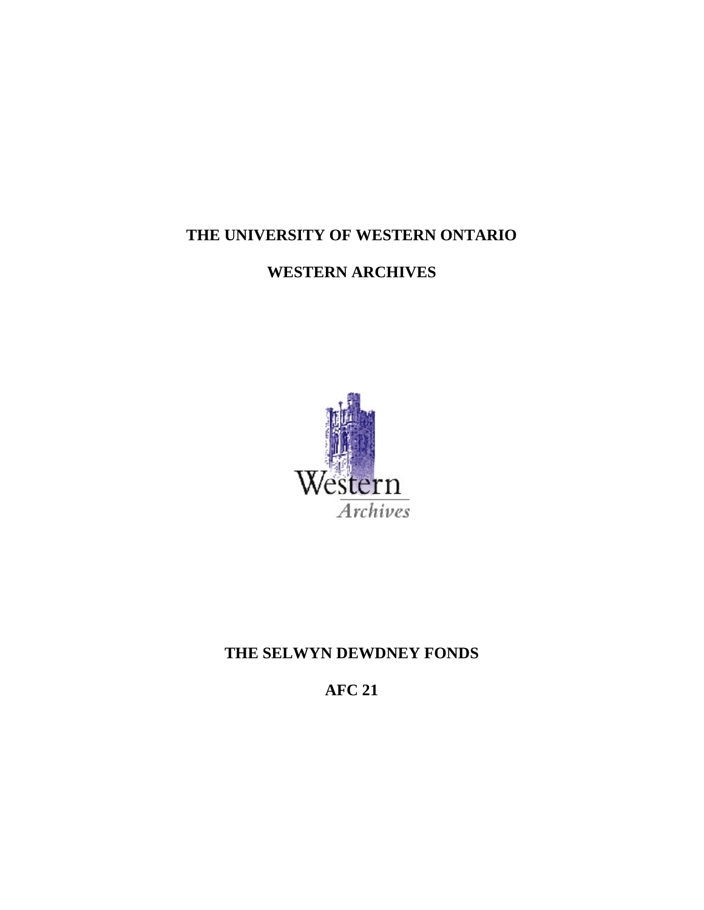# **THE UNIVERSITY OF WESTERN ONTARIO**

**WESTERN ARCHIVES** 



# **THE SELWYN DEWDNEY FONDS**

**AFC 21**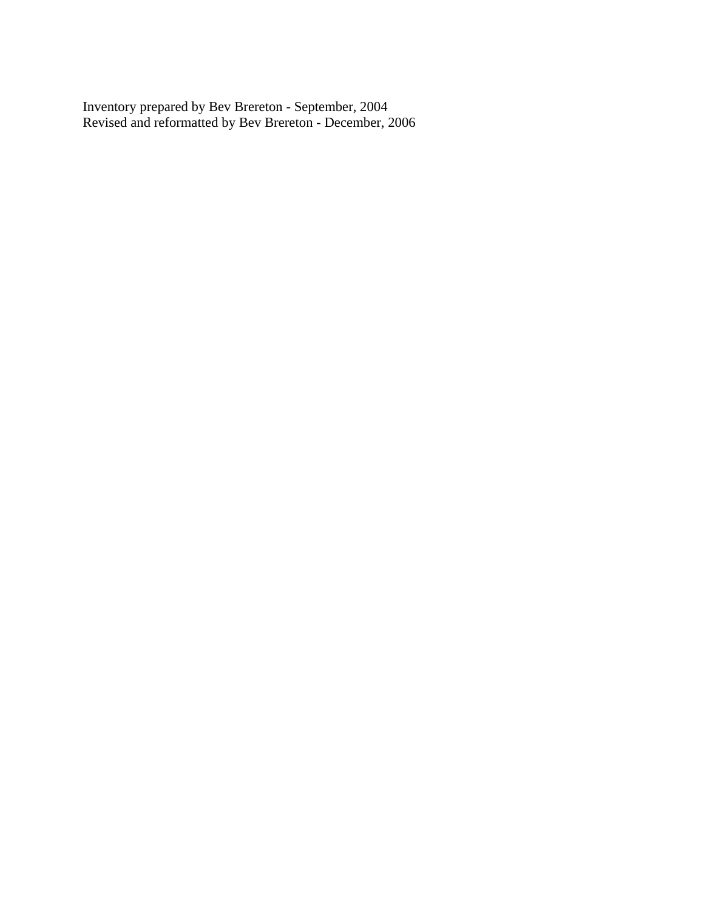Inventory prepared by Bev Brereton - September, 2004 Revised and reformatted by Bev Brereton - December, 2006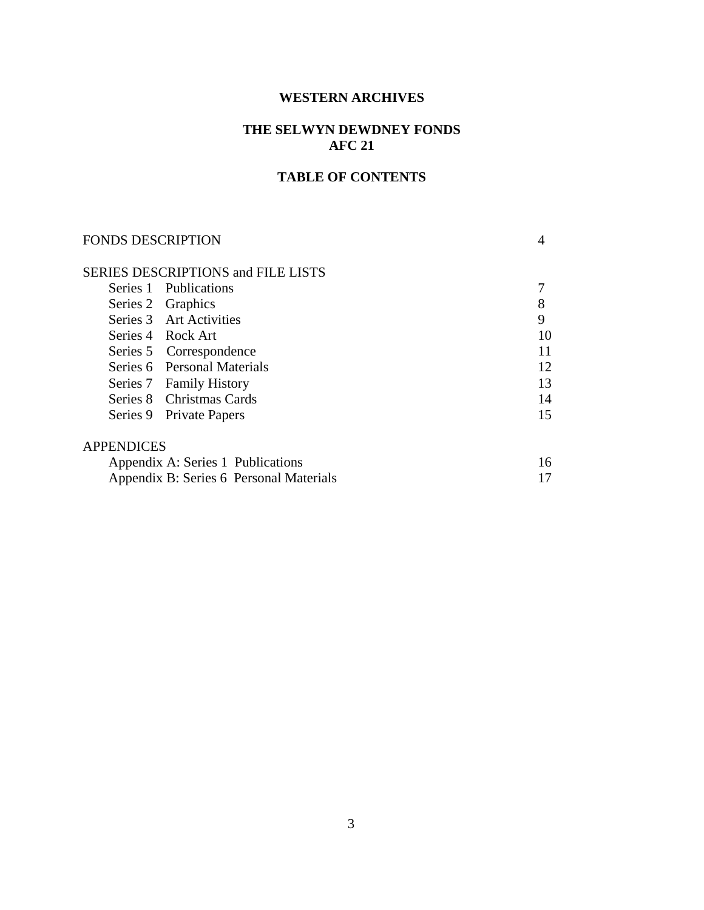#### **WESTERN ARCHIVES**

# **THE SELWYN DEWDNEY FONDS AFC 21**

#### **TABLE OF CONTENTS**

# FONDS DESCRIPTION 4 SERIES DESCRIPTIONS and FILE LISTS Series 1 Publications 7 Series 2 Graphics 8<br>Series 3 Art Activities 9 Series 3 Art Activities Series 4 Rock Art 10 Series 5 Correspondence 11 Series 6 Personal Materials 12 Series 7 Family History 13 Series 8 Christmas Cards 14 Series 9 Private Papers 15 APPENDICES Appendix A: Series 1 Publications 16 Appendix B: Series 6 Personal Materials 17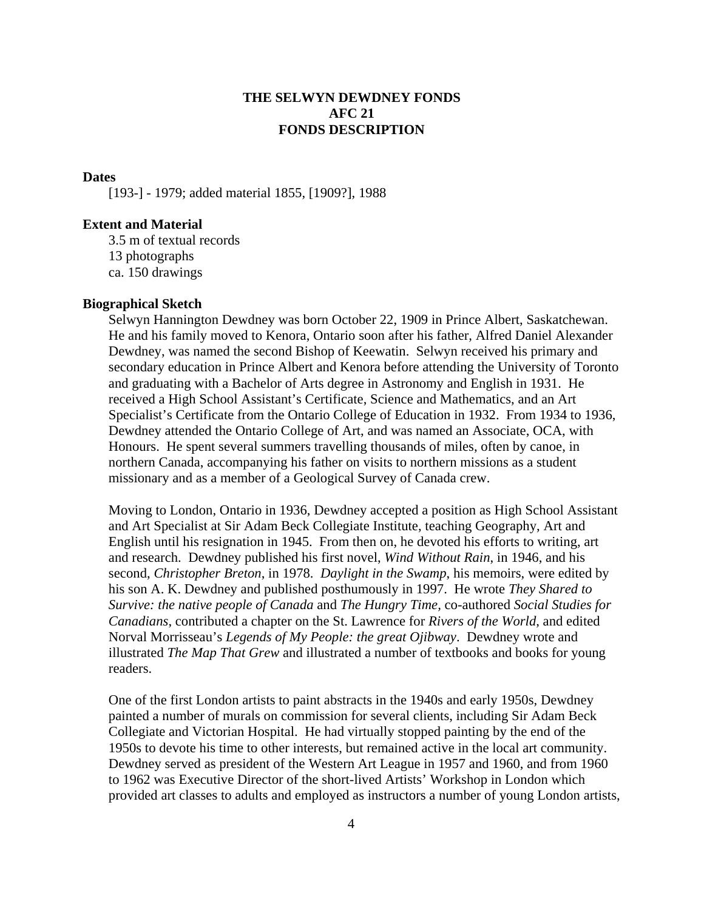### **THE SELWYN DEWDNEY FONDS AFC 21 FONDS DESCRIPTION**

#### **Dates**

[193-] - 1979; added material 1855, [1909?], 1988

#### **Extent and Material**

3.5 m of textual records 13 photographs ca. 150 drawings

#### **Biographical Sketch**

Selwyn Hannington Dewdney was born October 22, 1909 in Prince Albert, Saskatchewan. He and his family moved to Kenora, Ontario soon after his father, Alfred Daniel Alexander Dewdney, was named the second Bishop of Keewatin. Selwyn received his primary and secondary education in Prince Albert and Kenora before attending the University of Toronto and graduating with a Bachelor of Arts degree in Astronomy and English in 1931. He received a High School Assistant's Certificate, Science and Mathematics, and an Art Specialist's Certificate from the Ontario College of Education in 1932. From 1934 to 1936, Dewdney attended the Ontario College of Art, and was named an Associate, OCA, with Honours. He spent several summers travelling thousands of miles, often by canoe, in northern Canada, accompanying his father on visits to northern missions as a student missionary and as a member of a Geological Survey of Canada crew.

Moving to London, Ontario in 1936, Dewdney accepted a position as High School Assistant and Art Specialist at Sir Adam Beck Collegiate Institute, teaching Geography, Art and English until his resignation in 1945. From then on, he devoted his efforts to writing, art and research. Dewdney published his first novel, *Wind Without Rain*, in 1946, and his second, *Christopher Breton*, in 1978. *Daylight in the Swamp*, his memoirs, were edited by his son A. K. Dewdney and published posthumously in 1997. He wrote *They Shared to Survive: the native people of Canada* and *The Hungry Time,* co-authored *Social Studies for Canadians*, contributed a chapter on the St. Lawrence for *Rivers of the World*, and edited Norval Morrisseau's *Legends of My People: the great Ojibway*. Dewdney wrote and illustrated *The Map That Grew* and illustrated a number of textbooks and books for young readers.

One of the first London artists to paint abstracts in the 1940s and early 1950s, Dewdney painted a number of murals on commission for several clients, including Sir Adam Beck Collegiate and Victorian Hospital. He had virtually stopped painting by the end of the 1950s to devote his time to other interests, but remained active in the local art community. Dewdney served as president of the Western Art League in 1957 and 1960, and from 1960 to 1962 was Executive Director of the short-lived Artists' Workshop in London which provided art classes to adults and employed as instructors a number of young London artists,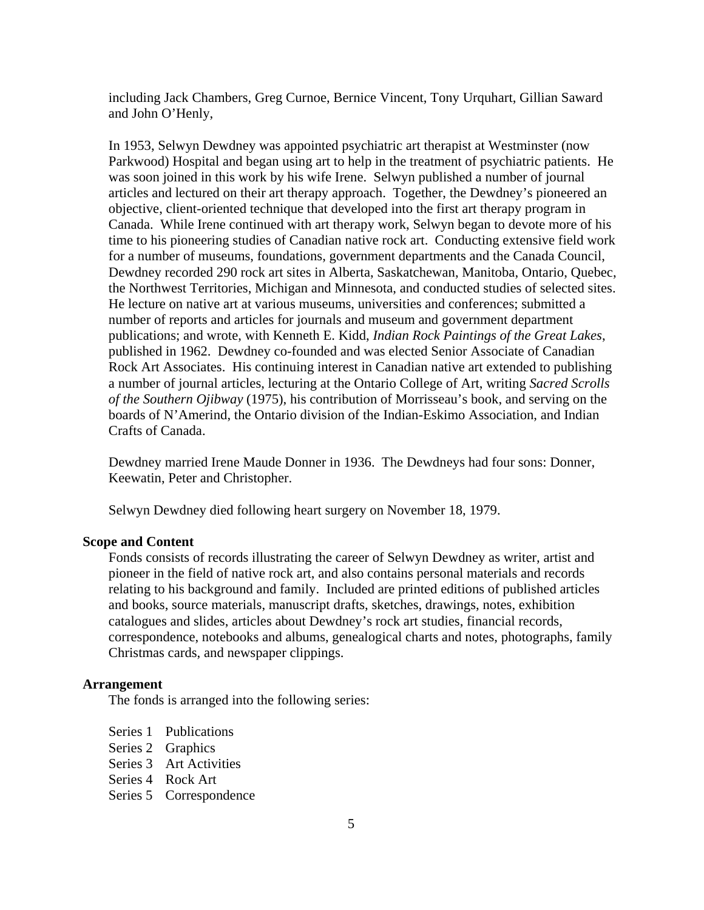including Jack Chambers, Greg Curnoe, Bernice Vincent, Tony Urquhart, Gillian Saward and John O'Henly,

In 1953, Selwyn Dewdney was appointed psychiatric art therapist at Westminster (now Parkwood) Hospital and began using art to help in the treatment of psychiatric patients. He was soon joined in this work by his wife Irene. Selwyn published a number of journal articles and lectured on their art therapy approach. Together, the Dewdney's pioneered an objective, client-oriented technique that developed into the first art therapy program in Canada. While Irene continued with art therapy work, Selwyn began to devote more of his time to his pioneering studies of Canadian native rock art. Conducting extensive field work for a number of museums, foundations, government departments and the Canada Council, Dewdney recorded 290 rock art sites in Alberta, Saskatchewan, Manitoba, Ontario, Quebec, the Northwest Territories, Michigan and Minnesota, and conducted studies of selected sites. He lecture on native art at various museums, universities and conferences; submitted a number of reports and articles for journals and museum and government department publications; and wrote, with Kenneth E. Kidd, *Indian Rock Paintings of the Great Lakes*, published in 1962. Dewdney co-founded and was elected Senior Associate of Canadian Rock Art Associates. His continuing interest in Canadian native art extended to publishing a number of journal articles, lecturing at the Ontario College of Art, writing *Sacred Scrolls of the Southern Ojibway* (1975), his contribution of Morrisseau's book, and serving on the boards of N'Amerind, the Ontario division of the Indian-Eskimo Association, and Indian Crafts of Canada.

Dewdney married Irene Maude Donner in 1936. The Dewdneys had four sons: Donner, Keewatin, Peter and Christopher.

Selwyn Dewdney died following heart surgery on November 18, 1979.

#### **Scope and Content**

Fonds consists of records illustrating the career of Selwyn Dewdney as writer, artist and pioneer in the field of native rock art, and also contains personal materials and records relating to his background and family. Included are printed editions of published articles and books, source materials, manuscript drafts, sketches, drawings, notes, exhibition catalogues and slides, articles about Dewdney's rock art studies, financial records, correspondence, notebooks and albums, genealogical charts and notes, photographs, family Christmas cards, and newspaper clippings.

#### **Arrangement**

The fonds is arranged into the following series:

 Series 1 Publications Series 2 Graphics

- Series 3 Art Activities
- Series 4 Rock Art
- Series 5 Correspondence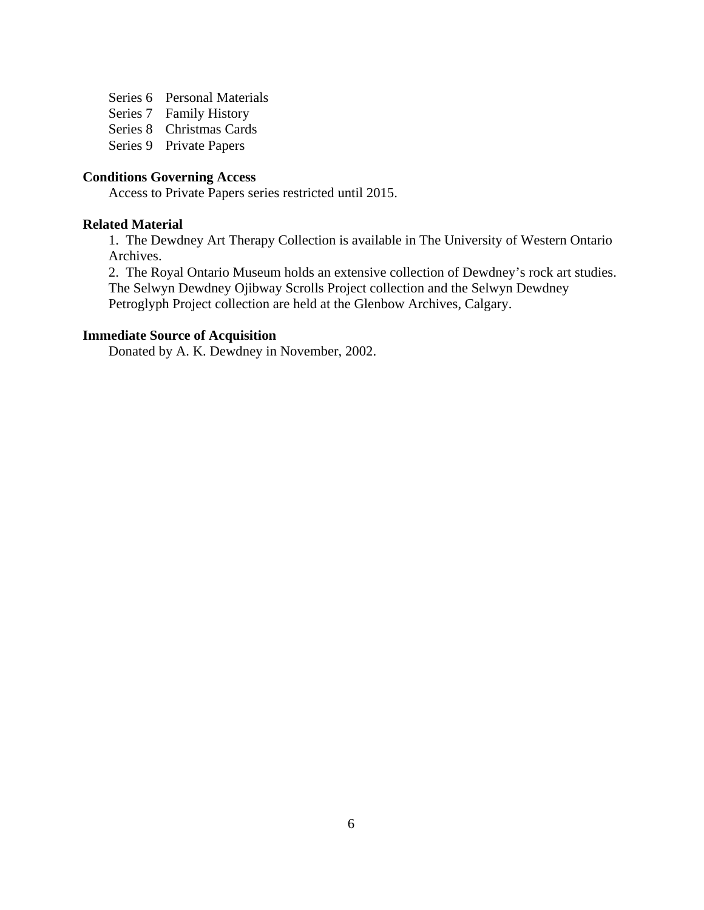Series 6 Personal Materials

Series 7 Family History

Series 8 Christmas Cards

Series 9 Private Papers

# **Conditions Governing Access**

Access to Private Papers series restricted until 2015.

#### **Related Material**

 1. The Dewdney Art Therapy Collection is available in The University of Western Ontario Archives.

 2. The Royal Ontario Museum holds an extensive collection of Dewdney's rock art studies. The Selwyn Dewdney Ojibway Scrolls Project collection and the Selwyn Dewdney Petroglyph Project collection are held at the Glenbow Archives, Calgary.

#### **Immediate Source of Acquisition**

Donated by A. K. Dewdney in November, 2002.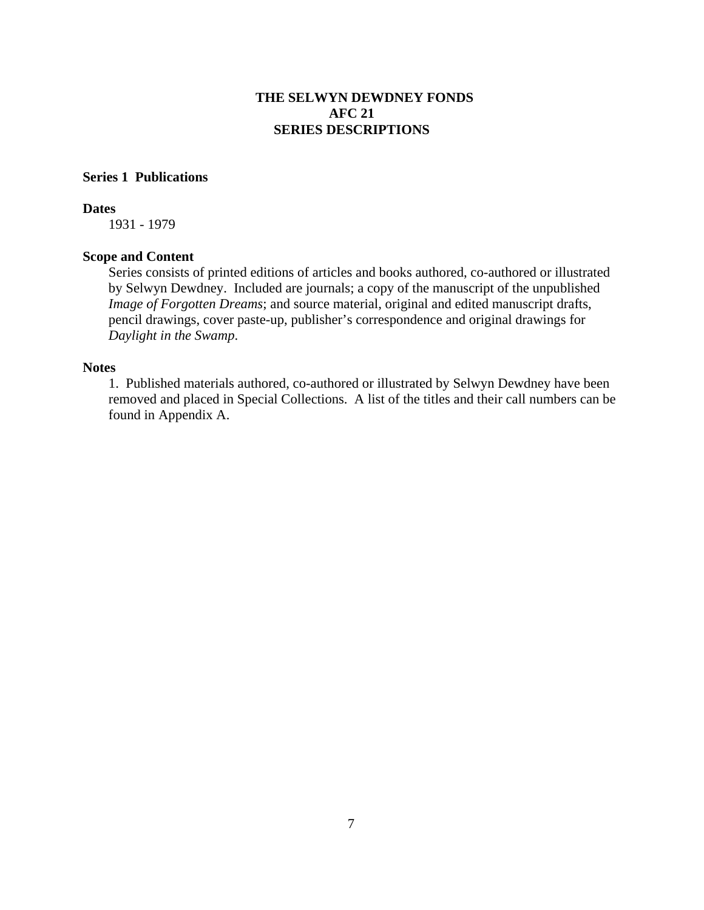#### **Series 1 Publications**

#### **Dates**

1931 - 1979

#### **Scope and Content**

Series consists of printed editions of articles and books authored, co-authored or illustrated by Selwyn Dewdney. Included are journals; a copy of the manuscript of the unpublished *Image of Forgotten Dreams*; and source material, original and edited manuscript drafts, pencil drawings, cover paste-up, publisher's correspondence and original drawings for *Daylight in the Swamp*.

#### **Notes**

1. Published materials authored, co-authored or illustrated by Selwyn Dewdney have been removed and placed in Special Collections. A list of the titles and their call numbers can be found in Appendix A.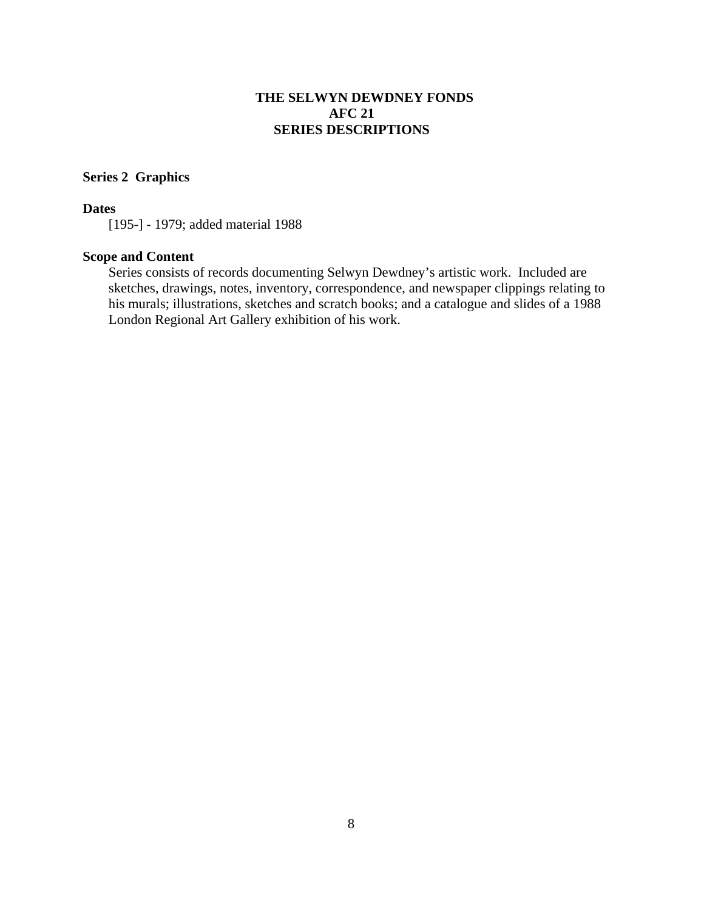#### **Series 2 Graphics**

#### **Dates**

[195-] - 1979; added material 1988

#### **Scope and Content**

Series consists of records documenting Selwyn Dewdney's artistic work. Included are sketches, drawings, notes, inventory, correspondence, and newspaper clippings relating to his murals; illustrations, sketches and scratch books; and a catalogue and slides of a 1988 London Regional Art Gallery exhibition of his work.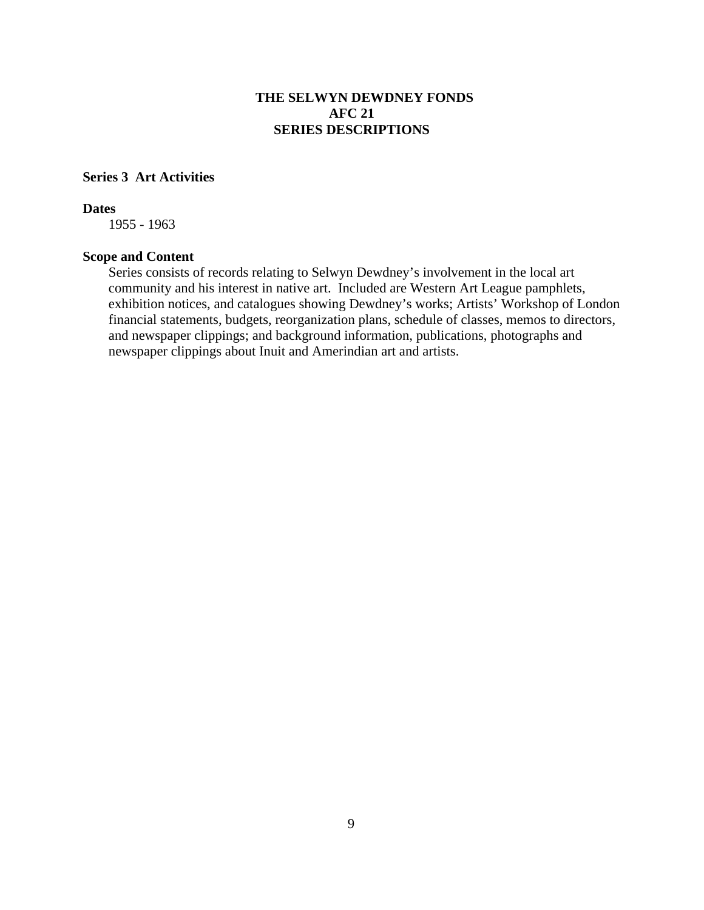# **Series 3 Art Activities**

#### **Dates**

1955 - 1963

#### **Scope and Content**

Series consists of records relating to Selwyn Dewdney's involvement in the local art community and his interest in native art. Included are Western Art League pamphlets, exhibition notices, and catalogues showing Dewdney's works; Artists' Workshop of London financial statements, budgets, reorganization plans, schedule of classes, memos to directors, and newspaper clippings; and background information, publications, photographs and newspaper clippings about Inuit and Amerindian art and artists.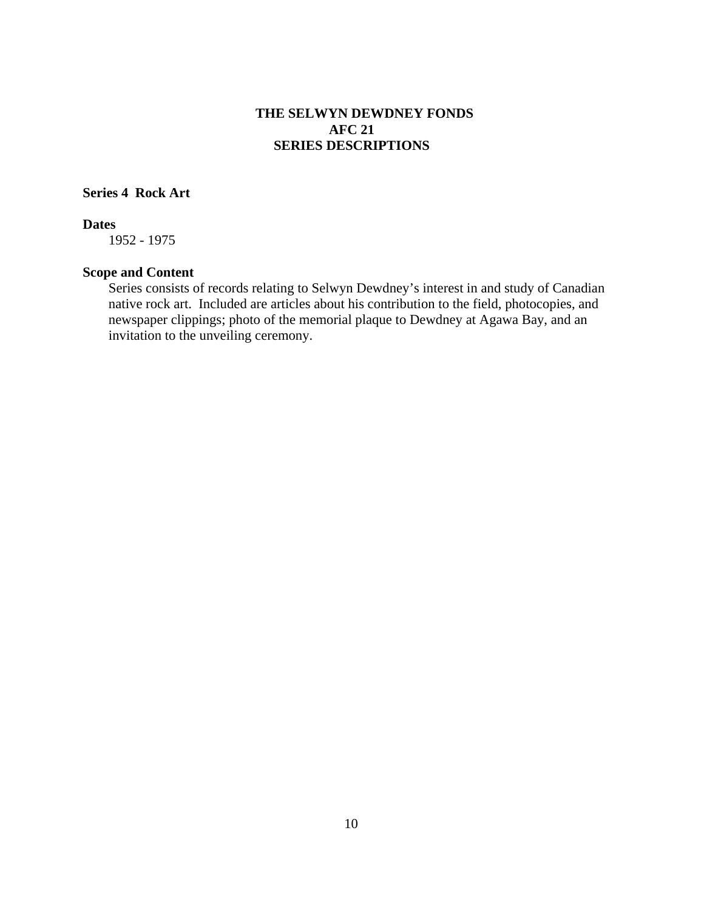#### **Series 4 Rock Art**

#### **Dates**

1952 - 1975

#### **Scope and Content**

Series consists of records relating to Selwyn Dewdney's interest in and study of Canadian native rock art. Included are articles about his contribution to the field, photocopies, and newspaper clippings; photo of the memorial plaque to Dewdney at Agawa Bay, and an invitation to the unveiling ceremony.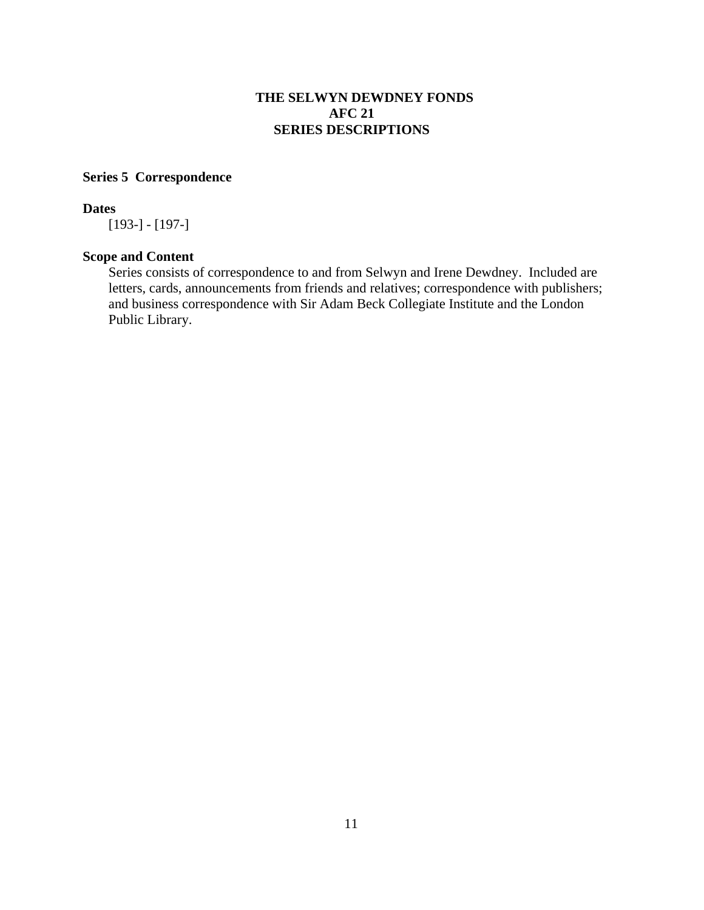# **Series 5 Correspondence**

#### **Dates**

[193-] - [197-]

# **Scope and Content**

Series consists of correspondence to and from Selwyn and Irene Dewdney. Included are letters, cards, announcements from friends and relatives; correspondence with publishers; and business correspondence with Sir Adam Beck Collegiate Institute and the London Public Library.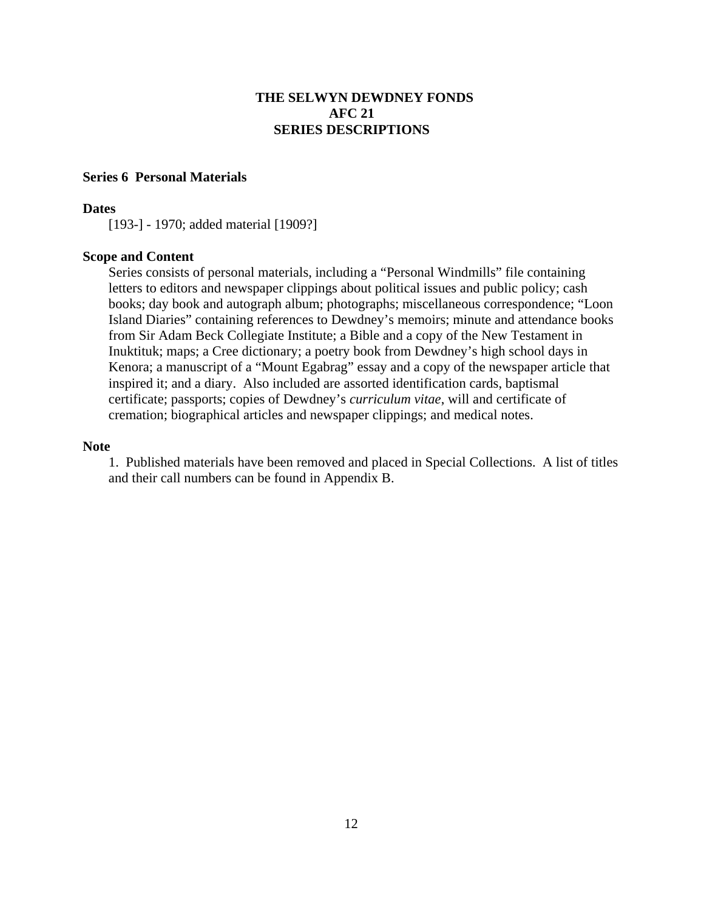#### **Series 6 Personal Materials**

#### **Dates**

[193-] - 1970; added material [1909?]

#### **Scope and Content**

Series consists of personal materials, including a "Personal Windmills" file containing letters to editors and newspaper clippings about political issues and public policy; cash books; day book and autograph album; photographs; miscellaneous correspondence; "Loon Island Diaries" containing references to Dewdney's memoirs; minute and attendance books from Sir Adam Beck Collegiate Institute; a Bible and a copy of the New Testament in Inuktituk; maps; a Cree dictionary; a poetry book from Dewdney's high school days in Kenora; a manuscript of a "Mount Egabrag" essay and a copy of the newspaper article that inspired it; and a diary. Also included are assorted identification cards, baptismal certificate; passports; copies of Dewdney's *curriculum vitae*, will and certificate of cremation; biographical articles and newspaper clippings; and medical notes.

#### **Note**

1. Published materials have been removed and placed in Special Collections. A list of titles and their call numbers can be found in Appendix B.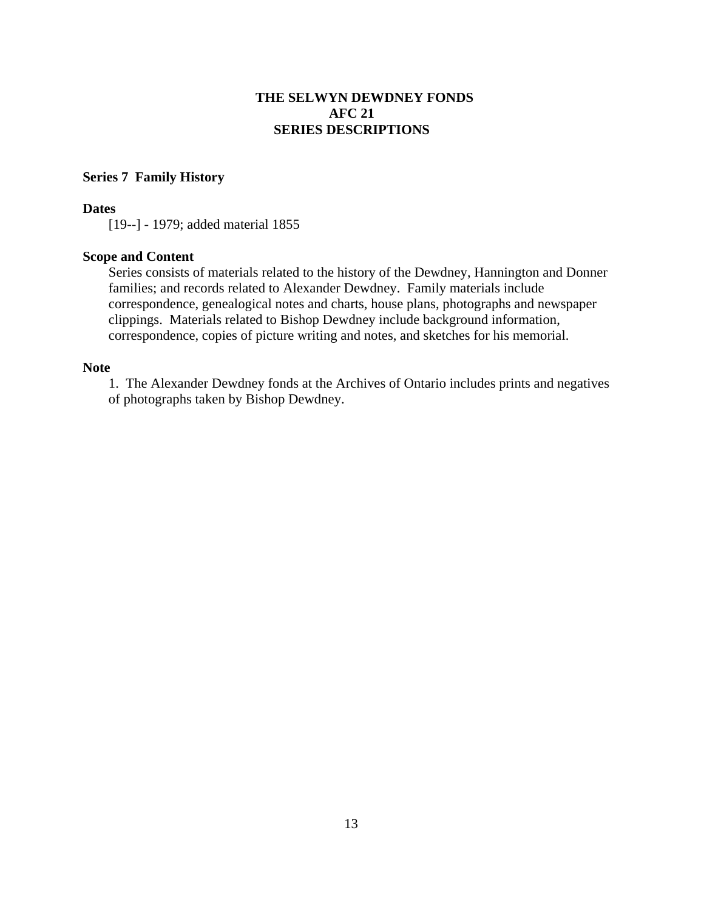#### **Series 7 Family History**

#### **Dates**

[19--] - 1979; added material 1855

#### **Scope and Content**

Series consists of materials related to the history of the Dewdney, Hannington and Donner families; and records related to Alexander Dewdney. Family materials include correspondence, genealogical notes and charts, house plans, photographs and newspaper clippings. Materials related to Bishop Dewdney include background information, correspondence, copies of picture writing and notes, and sketches for his memorial.

#### **Note**

1. The Alexander Dewdney fonds at the Archives of Ontario includes prints and negatives of photographs taken by Bishop Dewdney.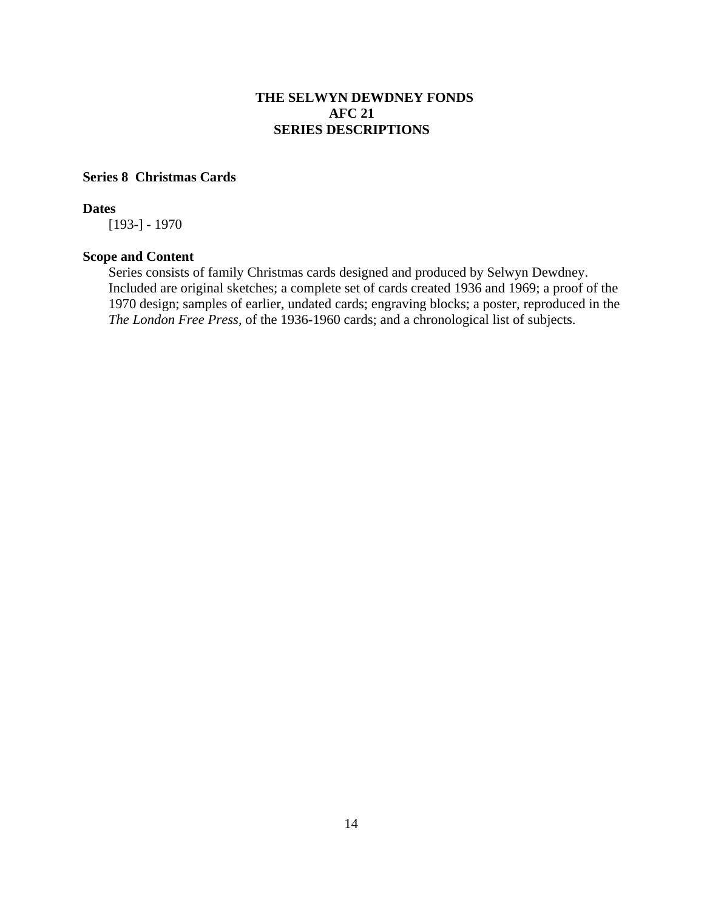#### **Series 8 Christmas Cards**

#### **Dates**

[193-] - 1970

#### **Scope and Content**

Series consists of family Christmas cards designed and produced by Selwyn Dewdney. Included are original sketches; a complete set of cards created 1936 and 1969; a proof of the 1970 design; samples of earlier, undated cards; engraving blocks; a poster, reproduced in the *The London Free Press*, of the 1936-1960 cards; and a chronological list of subjects.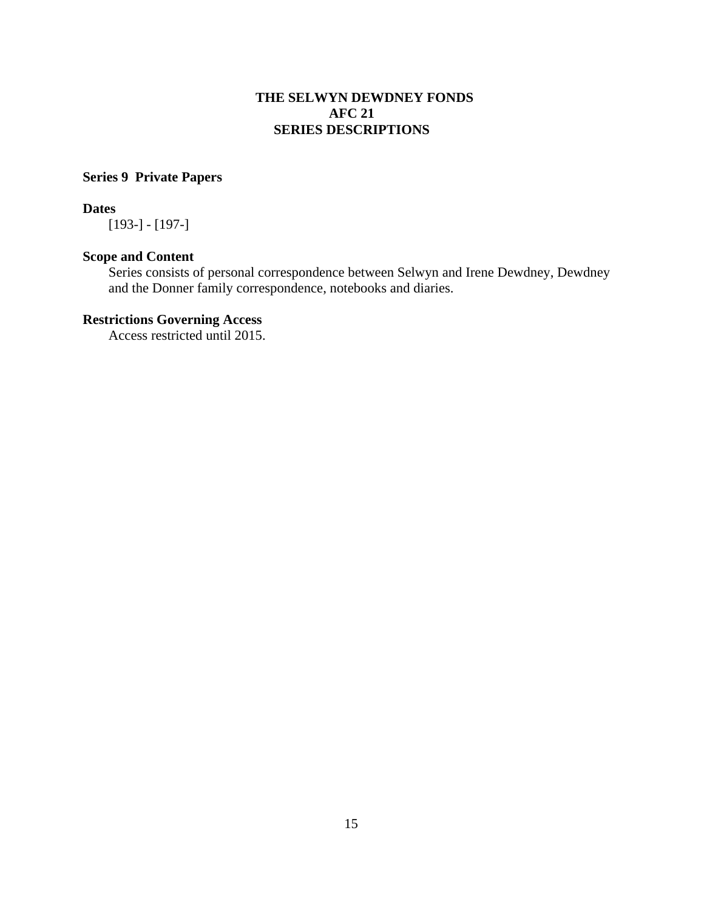# **Series 9 Private Papers**

#### **Dates**

[193-] - [197-]

# **Scope and Content**

Series consists of personal correspondence between Selwyn and Irene Dewdney, Dewdney and the Donner family correspondence, notebooks and diaries.

# **Restrictions Governing Access**

Access restricted until 2015.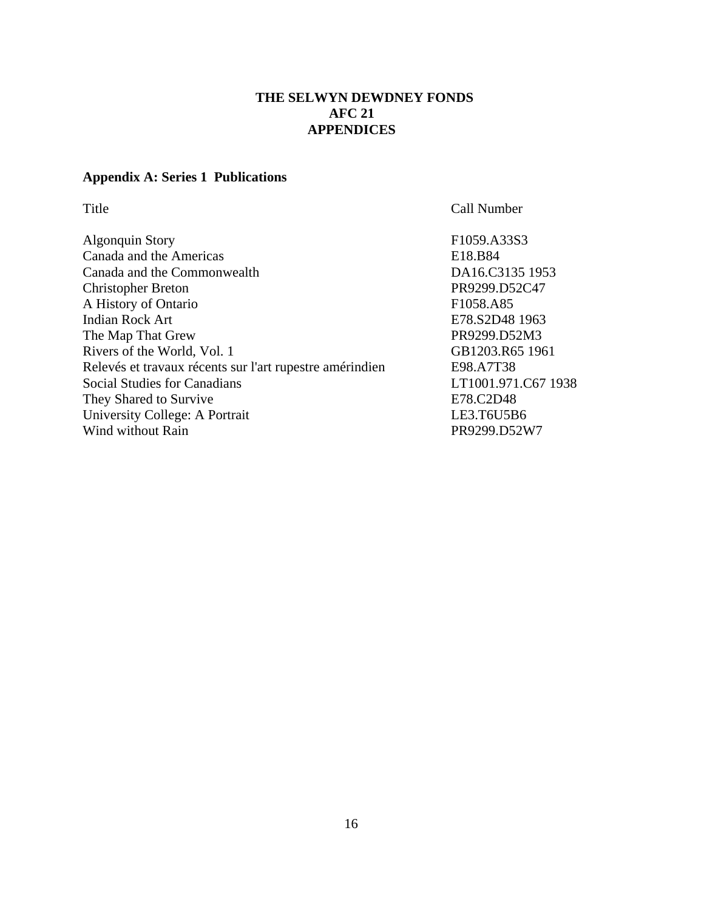# **THE SELWYN DEWDNEY FONDS AFC 21 APPENDICES**

# **Appendix A: Series 1 Publications**

Title Call Number

| F1059.A33S3  |
|--------------|
| E18.B84      |
| DA16.C3135   |
| PR9299.D52C  |
| F1058.A85    |
| E78.S2D48 19 |
| PR9299.D52M  |
| GB1203.R65   |
| E98.A7T38    |
| LT1001.971.C |
| E78.C2D48    |
| LE3.T6U5B6   |
| PR9299.D52W  |
|              |

E18.B84 DA16.C3135 1953 PR9299.D52C47 F1058.A85 E78.S2D48 1963 PR9299.D52M3 GB1203.R65 1961 Relevés et travaux récents sur l'art rupestre amérindien E98.A7T38 LT1001.971.C67 1938 E78.C2D48 LE3.T6U5B6 PR9299.D52W7